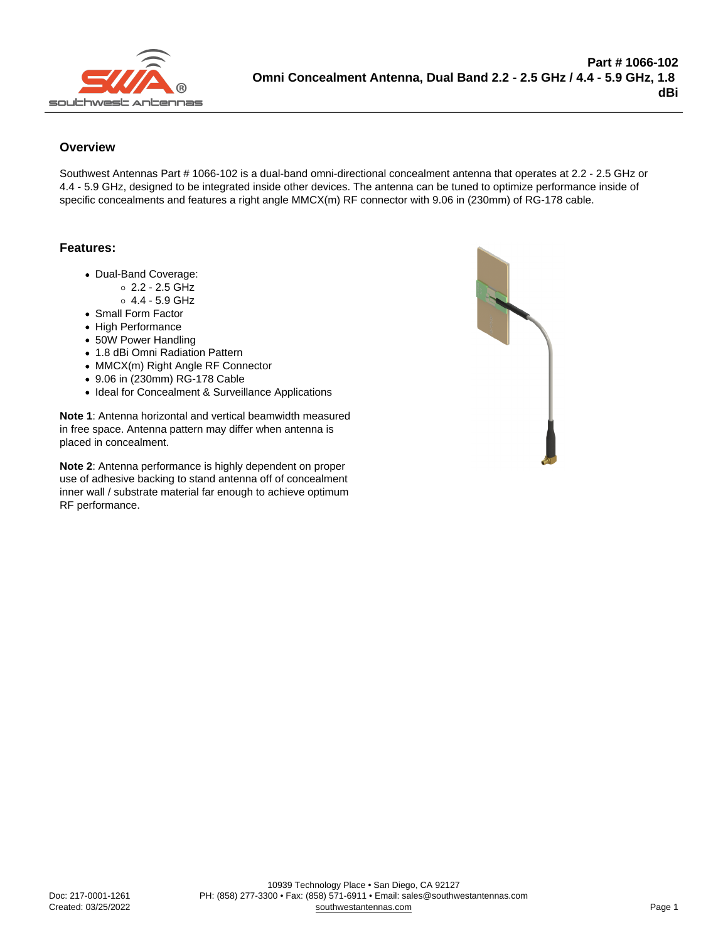## **Overview**

Southwest Antennas Part # 1066-102 is a dual-band omni-directional concealment antenna that operates at 2.2 - 2.5 GHz or 4.4 - 5.9 GHz, designed to be integrated inside other devices. The antenna can be tuned to optimize performance inside of specific concealments and features a right angle MMCX(m) RF connector with 9.06 in (230mm) of RG-178 cable.

## Features:

- Dual-Band Coverage:
	- $0.2 2.5$  GHz  $0.4.4 - 5.9$  GHz
- Small Form Factor
- High Performance
- 50W Power Handling
- 1.8 dBi Omni Radiation Pattern
- MMCX(m) Right Angle RF Connector
- 9.06 in (230mm) RG-178 Cable
- Ideal for Concealment & Surveillance Applications

Note 1: Antenna horizontal and vertical beamwidth measured in free space. Antenna pattern may differ when antenna is placed in concealment.

Note 2: Antenna performance is highly dependent on proper use of adhesive backing to stand antenna off of concealment inner wall / substrate material far enough to achieve optimum RF performance.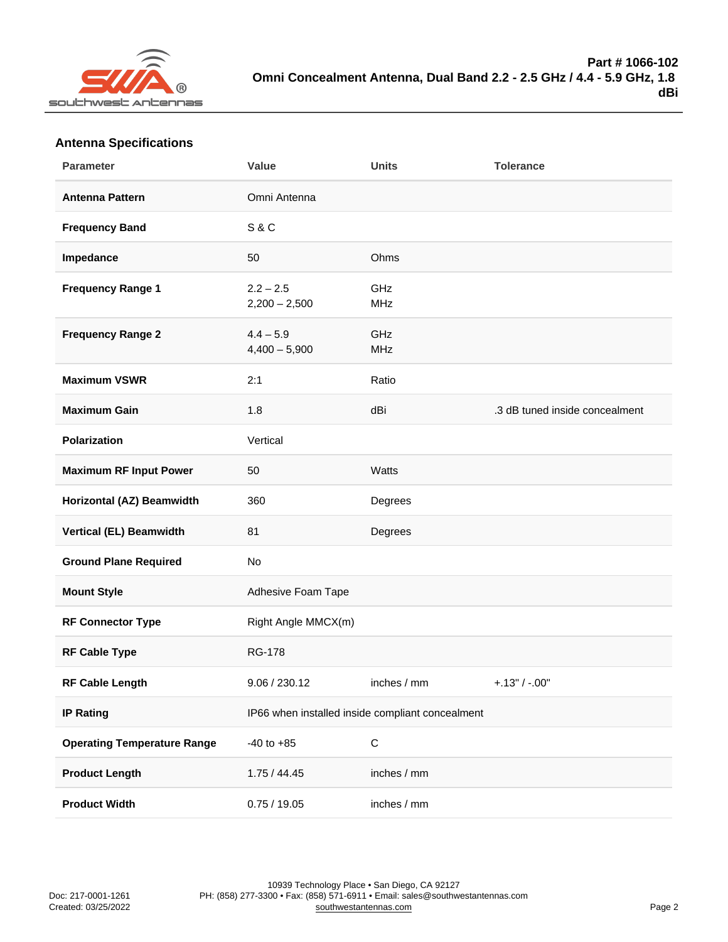## Antenna Specifications

| Parameter                          | Value                                            | Units             | Tolerance                      |
|------------------------------------|--------------------------------------------------|-------------------|--------------------------------|
| Antenna Pattern                    | Omni Antenna                                     |                   |                                |
| Frequency Band                     | <b>S&amp;C</b>                                   |                   |                                |
| Impedance                          | 50                                               | Ohms              |                                |
| Frequency Range 1                  | $2.2 - 2.5$<br>$2,200 - 2,500$                   | GHz<br><b>MHz</b> |                                |
| Frequency Range 2                  | $4.4 - 5.9$<br>$4,400 - 5,900$                   | GHz<br><b>MHz</b> |                                |
| Maximum VSWR                       | 2:1                                              | Ratio             |                                |
| Maximum Gain                       | 1.8                                              | dBi               | .3 dB tuned inside concealment |
| Polarization                       | Vertical                                         |                   |                                |
| Maximum RF Input Power             | 50                                               | Watts             |                                |
| Horizontal (AZ) Beamwidth          | 360                                              | Degrees           |                                |
| Vertical (EL) Beamwidth            | 81                                               | Degrees           |                                |
| <b>Ground Plane Required</b>       | No                                               |                   |                                |
| Mount Style                        | Adhesive Foam Tape                               |                   |                                |
| RF Connector Type                  | Right Angle MMCX(m)                              |                   |                                |
| RF Cable Type                      | <b>RG-178</b>                                    |                   |                                |
| RF Cable Length                    | 9.06 / 230.12                                    | inches / mm       | $+.13" / -.00"$                |
| IP Rating                          | IP66 when installed inside compliant concealment |                   |                                |
| <b>Operating Temperature Range</b> | $-40$ to $+85$                                   | $\mathsf C$       |                                |
| Product Length                     | 1.75/44.45                                       | inches / mm       |                                |
| <b>Product Width</b>               | 0.75/19.05                                       | inches / mm       |                                |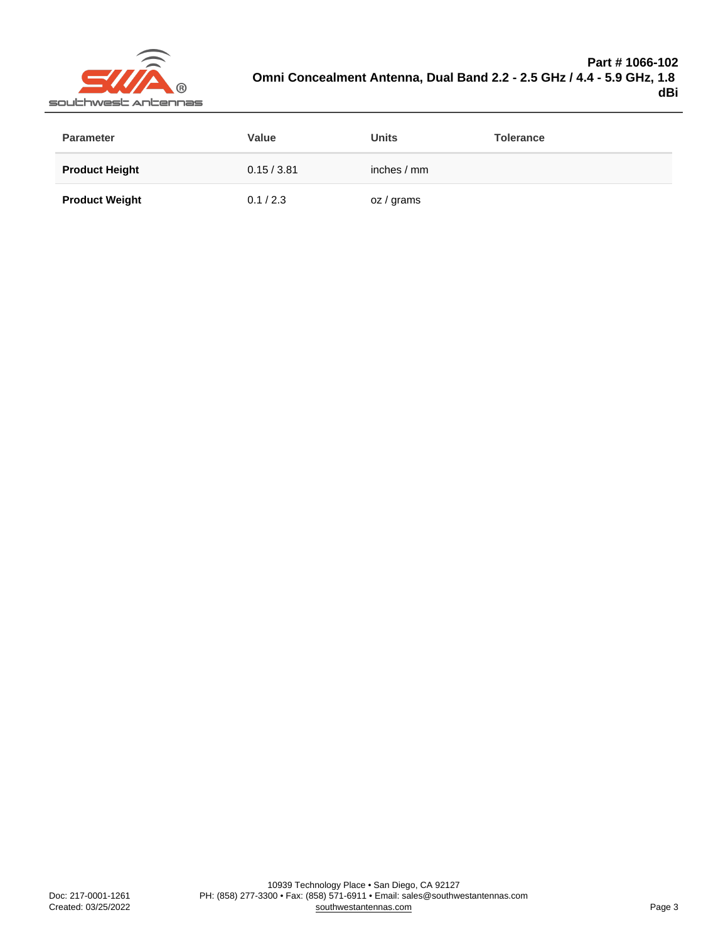| Parameter             | Value       | Units        | Tolerance |
|-----------------------|-------------|--------------|-----------|
| <b>Product Height</b> | 0.15 / 3.81 | inches $/mm$ |           |
| <b>Product Weight</b> | 0.1 / 2.3   | oz / grams   |           |